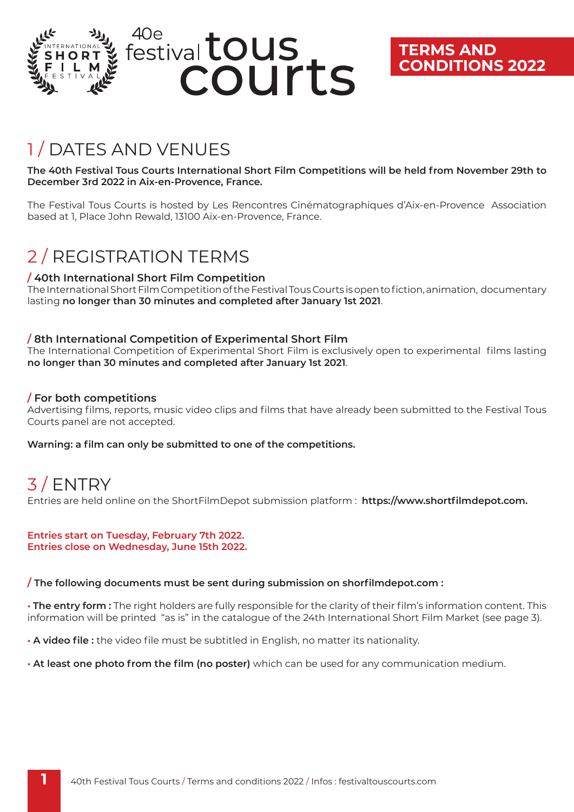

## **TERMS AND CONDITIONS 2022**

## 1 / DATES AND VENUES

**The 40th Festival Tous Courts International Short Film Competitions will be held from November 29th to December 3rd 2022 in Aix-en-Provence, France.** 

The Festival Tous Courts is hosted by Les Rencontres Cinématographiques d'Aix-en-Provence Association based at 1, Place John Rewald, 13100 Aix-en-Provence, France.

# 2 / REGISTRATION TERMS

### **/ 40th International Short Film Competition**

The International Short Film Competition of the Festival Tous Courts is open to fiction, animation, documentary lasting **no longer than 30 minutes and completed after January 1st 2021**.

### **/ 8th International Competition of Experimental Short Film**

The International Competition of Experimental Short Film is exclusively open to experimental films lasting **no longer than 30 minutes and completed after January 1st 2021**.

### **/ For both competitions**

Advertising films, reports, music video clips and films that have already been submitted to the Festival Tous Courts panel are not accepted.

**Warning: a film can only be submitted to one of the competitions.** 

# 3 / ENTRY

Entries are held online on the ShortFilmDepot submission platform : **https://www.shortfilmdepot.com.**

#### **Entries start on Tuesday, February 7th 2022. Entries close on Wednesday, June 15th 2022.**

### **/ The following documents must be sent during submission on shorfilmdepot.com :**

**• The entry form :** The right holders are fully responsible for the clarity of their film's information content. This information will be printed "as is" in the catalogue of the 24th International Short Film Market (see page 3).

**• A video file :** the video file must be subtitled in English, no matter its nationality.

**• At least one photo from the film (no poster)** which can be used for any communication medium.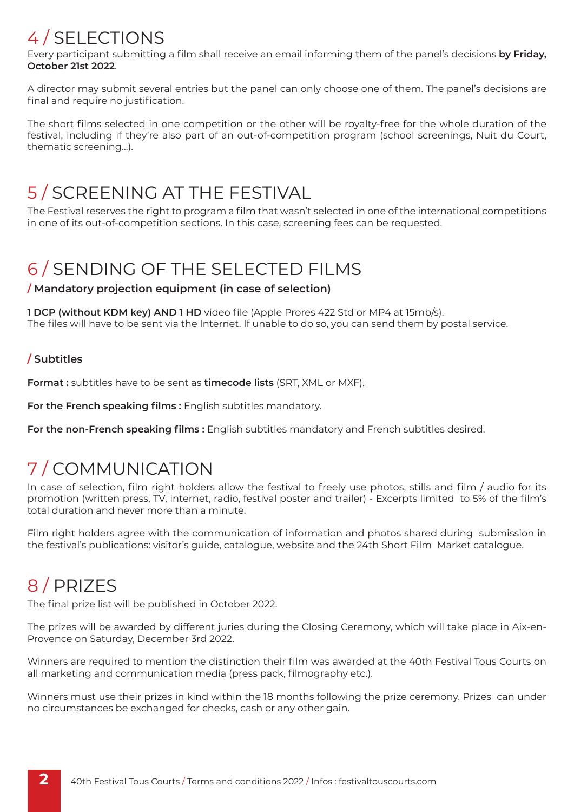# 4 / SELECTIONS

Every participant submitting a film shall receive an email informing them of the panel's decisions **by Friday, October 21st 2022**.

A director may submit several entries but the panel can only choose one of them. The panel's decisions are final and require no justification.

The short films selected in one competition or the other will be royalty-free for the whole duration of the festival, including if they're also part of an out-of-competition program (school screenings, Nuit du Court, thematic screening…).

# 5 / SCREENING AT THE FESTIVAL

The Festival reserves the right to program a film that wasn't selected in one of the international competitions in one of its out-of-competition sections. In this case, screening fees can be requested.

## 6 / SENDING OF THE SELECTED FILMS

### **/ Mandatory projection equipment (in case of selection)**

**1 DCP (without KDM key) AND 1 HD** video file (Apple Prores 422 Std or MP4 at 15mb/s). The files will have to be sent via the Internet. If unable to do so, you can send them by postal service.

### **/ Subtitles**

**Format :** subtitles have to be sent as **timecode lists** (SRT, XML or MXF).

For the French speaking films : English subtitles mandatory.

**For the non-French speaking films :** English subtitles mandatory and French subtitles desired.

## 7 / COMMUNICATION

In case of selection, film right holders allow the festival to freely use photos, stills and film / audio for its promotion (written press, TV, internet, radio, festival poster and trailer) - Excerpts limited to 5% of the film's total duration and never more than a minute.

Film right holders agree with the communication of information and photos shared during submission in the festival's publications: visitor's guide, catalogue, website and the 24th Short Film Market catalogue.

## 8 / PRIZES

The final prize list will be published in October 2022.

The prizes will be awarded by different juries during the Closing Ceremony, which will take place in Aix-en-Provence on Saturday, December 3rd 2022.

Winners are required to mention the distinction their film was awarded at the 40th Festival Tous Courts on all marketing and communication media (press pack, filmography etc.).

Winners must use their prizes in kind within the 18 months following the prize ceremony. Prizes can under no circumstances be exchanged for checks, cash or any other gain.